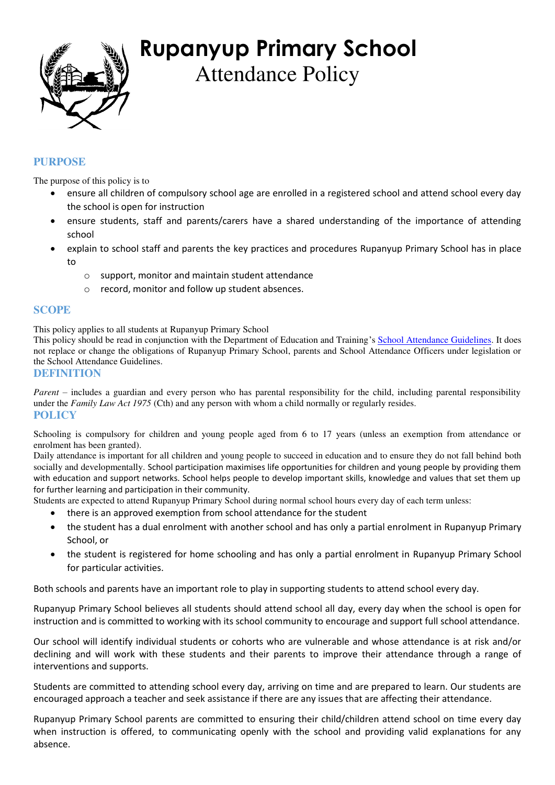

# **Rupanyup Primary School**

Attendance Policy

# **PURPOSE**

The purpose of this policy is to

- ensure all children of compulsory school age are enrolled in a registered school and attend school every day the school is open for instruction
- ensure students, staff and parents/carers have a shared understanding of the importance of attending school
- explain to school staff and parents the key practices and procedures Rupanyup Primary School has in place to
	- o support, monitor and maintain student attendance
	- o record, monitor and follow up student absences.

# **SCOPE**

This policy applies to all students at Rupanyup Primary School

This policy should be read in conjunction with the Department of Education and Training's [School Attendance Guidelines.](http://www.education.vic.gov.au/school/teachers/studentmanagement/Pages/attendance.aspx) It does not replace or change the obligations of Rupanyup Primary School, parents and School Attendance Officers under legislation or the School Attendance Guidelines.

#### **DEFINITION**

*Parent* – includes a guardian and every person who has parental responsibility for the child, including parental responsibility under the *Family Law Act 1975* (Cth) and any person with whom a child normally or regularly resides. **POLICY** 

Schooling is compulsory for children and young people aged from 6 to 17 years (unless an exemption from attendance or enrolment has been granted).

Daily attendance is important for all children and young people to succeed in education and to ensure they do not fall behind both socially and developmentally. School participation maximises life opportunities for children and young people by providing them with education and support networks. School helps people to develop important skills, knowledge and values that set them up for further learning and participation in their community.

Students are expected to attend Rupanyup Primary School during normal school hours every day of each term unless:

- there is an approved exemption from school attendance for the student
- the student has a dual enrolment with another school and has only a partial enrolment in Rupanyup Primary School, or
- the student is registered for home schooling and has only a partial enrolment in Rupanyup Primary School for particular activities.

Both schools and parents have an important role to play in supporting students to attend school every day.

Rupanyup Primary School believes all students should attend school all day, every day when the school is open for instruction and is committed to working with its school community to encourage and support full school attendance.

Our school will identify individual students or cohorts who are vulnerable and whose attendance is at risk and/or declining and will work with these students and their parents to improve their attendance through a range of interventions and supports.

Students are committed to attending school every day, arriving on time and are prepared to learn. Our students are encouraged approach a teacher and seek assistance if there are any issues that are affecting their attendance.

Rupanyup Primary School parents are committed to ensuring their child/children attend school on time every day when instruction is offered, to communicating openly with the school and providing valid explanations for any absence.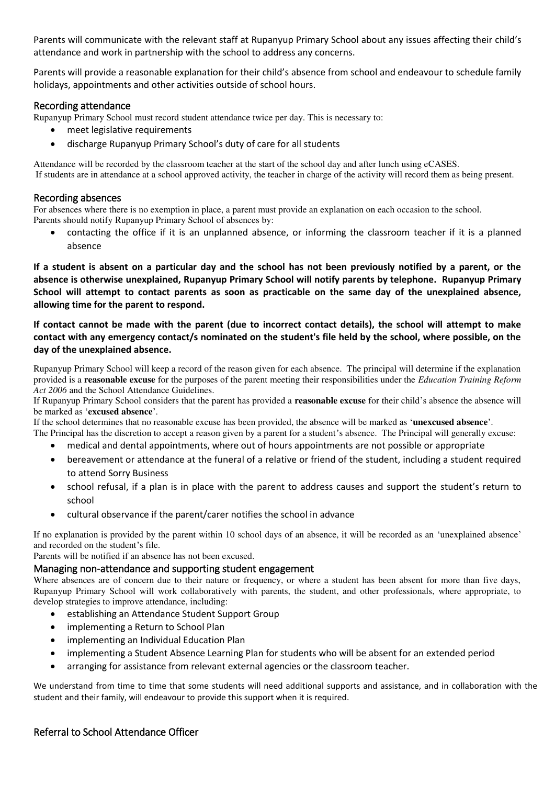Parents will communicate with the relevant staff at Rupanyup Primary School about any issues affecting their child's attendance and work in partnership with the school to address any concerns.

Parents will provide a reasonable explanation for their child's absence from school and endeavour to schedule family holidays, appointments and other activities outside of school hours.

### Recording attendance

Rupanyup Primary School must record student attendance twice per day. This is necessary to:

- meet legislative requirements
- discharge Rupanyup Primary School's duty of care for all students

Attendance will be recorded by the classroom teacher at the start of the school day and after lunch using eCASES. If students are in attendance at a school approved activity, the teacher in charge of the activity will record them as being present.

#### Recording absences

For absences where there is no exemption in place, a parent must provide an explanation on each occasion to the school. Parents should notify Rupanyup Primary School of absences by:

 contacting the office if it is an unplanned absence, or informing the classroom teacher if it is a planned absence

**If a student is absent on a particular day and the school has not been previously notified by a parent, or the absence is otherwise unexplained, Rupanyup Primary School will notify parents by telephone. Rupanyup Primary School will attempt to contact parents as soon as practicable on the same day of the unexplained absence, allowing time for the parent to respond.** 

**If contact cannot be made with the parent (due to incorrect contact details), the school will attempt to make contact with any emergency contact/s nominated on the student's file held by the school, where possible, on the day of the unexplained absence.** 

Rupanyup Primary School will keep a record of the reason given for each absence. The principal will determine if the explanation provided is a **reasonable excuse** for the purposes of the parent meeting their responsibilities under the *Education Training Reform Act 2006* and the School Attendance Guidelines.

If Rupanyup Primary School considers that the parent has provided a **reasonable excuse** for their child's absence the absence will be marked as '**excused absence**'.

If the school determines that no reasonable excuse has been provided, the absence will be marked as '**unexcused absence**'. The Principal has the discretion to accept a reason given by a parent for a student's absence. The Principal will generally excuse:

- medical and dental appointments, where out of hours appointments are not possible or appropriate
- bereavement or attendance at the funeral of a relative or friend of the student, including a student required to attend Sorry Business
- school refusal, if a plan is in place with the parent to address causes and support the student's return to school
- cultural observance if the parent/carer notifies the school in advance

If no explanation is provided by the parent within 10 school days of an absence, it will be recorded as an 'unexplained absence' and recorded on the student's file.

Parents will be notified if an absence has not been excused.

#### Managing non-attendance and supporting student engagement

Where absences are of concern due to their nature or frequency, or where a student has been absent for more than five days, Rupanyup Primary School will work collaboratively with parents, the student, and other professionals, where appropriate, to develop strategies to improve attendance, including:

- establishing an Attendance Student Support Group
- implementing a Return to School Plan
- implementing an Individual Education Plan
- implementing a Student Absence Learning Plan for students who will be absent for an extended period
- arranging for assistance from relevant external agencies or the classroom teacher.

We understand from time to time that some students will need additional supports and assistance, and in collaboration with the student and their family, will endeavour to provide this support when it is required.

# Referral to School Attendance Officer